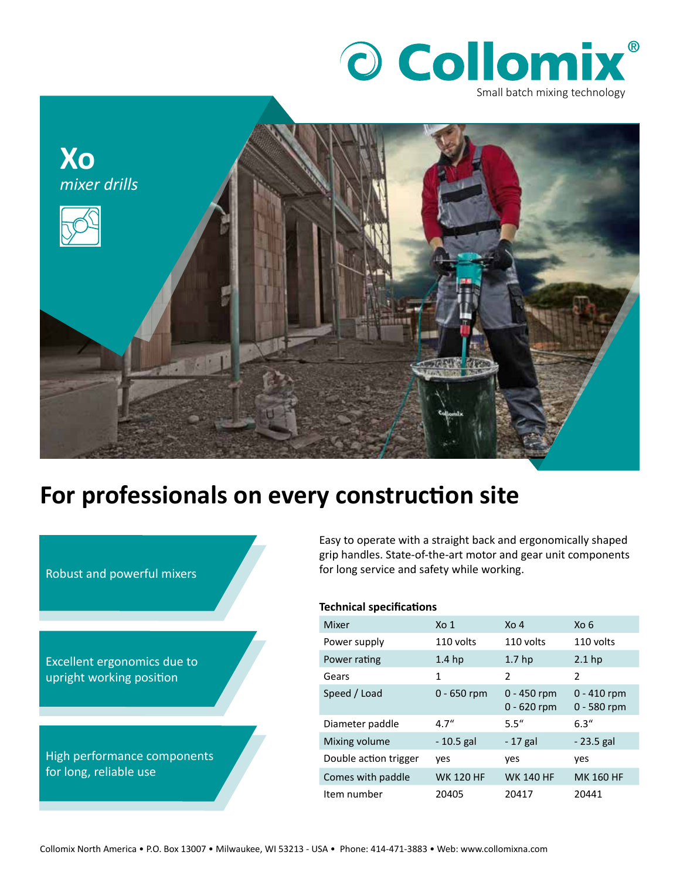



## **For professionals on every construction site**



Easy to operate with a straight back and ergonomically shaped grip handles. State-of-the-art motor and gear unit components for long service and safety while working.

## **Technical specifications**

| Mixer                 | X <sub>0</sub> 1  | $X_0$ 4                        | Xo 6                           |
|-----------------------|-------------------|--------------------------------|--------------------------------|
| Power supply          | 110 volts         | 110 volts                      | 110 volts                      |
| Power rating          | 1.4 <sub>hp</sub> | 1.7 <sub>hp</sub>              | $2.1$ hp                       |
| Gears                 | 1                 | $\mathfrak z$                  | $\mathcal{P}$                  |
| Speed / Load          | $0 - 650$ rpm     | $0 - 450$ rpm<br>$0 - 620$ rpm | $0 - 410$ rpm<br>$0 - 580$ rpm |
| Diameter paddle       | 4.7''             | 5.5''                          | 6.3''                          |
| Mixing volume         | - 10.5 gal        | - 17 gal                       | - 23.5 gal                     |
| Double action trigger | ves               | yes                            | yes                            |
| Comes with paddle     | <b>WK 120 HF</b>  | <b>WK 140 HF</b>               | <b>MK 160 HF</b>               |
| Item number           | 20405             | 20417                          | 20441                          |